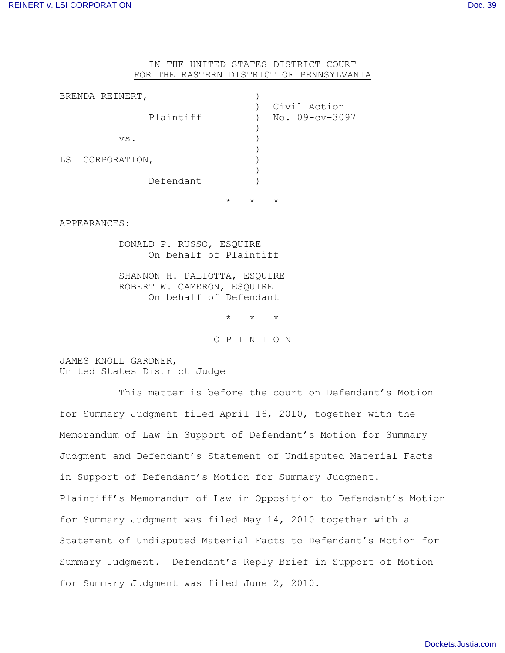## IN THE UNITED STATES DISTRICT COURT FOR THE EASTERN DISTRICT OF PENNSYLVANIA

| BRENDA REINERT,  |           |          |          |                                |
|------------------|-----------|----------|----------|--------------------------------|
|                  | Plaintiff |          |          | Civil Action<br>No. 09-cv-3097 |
| VS.              |           |          |          |                                |
| LSI CORPORATION, |           |          |          |                                |
|                  | Defendant |          |          |                                |
|                  |           | $^\star$ | $^\star$ | $^\star$                       |

APPEARANCES:

DONALD P. RUSSO, ESQUIRE On behalf of Plaintiff

SHANNON H. PALIOTTA, ESQUIRE ROBERT W. CAMERON, ESOUIRE On behalf of Defendant

\* \* \*

O P I N I O N

JAMES KNOLL GARDNER, United States District Judge

This matter is before the court on Defendant's Motion for Summary Judgment filed April 16, 2010, together with the Memorandum of Law in Support of Defendant's Motion for Summary Judgment and Defendant's Statement of Undisputed Material Facts in Support of Defendant's Motion for Summary Judgment. Plaintiff's Memorandum of Law in Opposition to Defendant's Motion for Summary Judgment was filed May 14, 2010 together with a Statement of Undisputed Material Facts to Defendant's Motion for Summary Judgment. Defendant's Reply Brief in Support of Motion for Summary Judgment was filed June 2, 2010.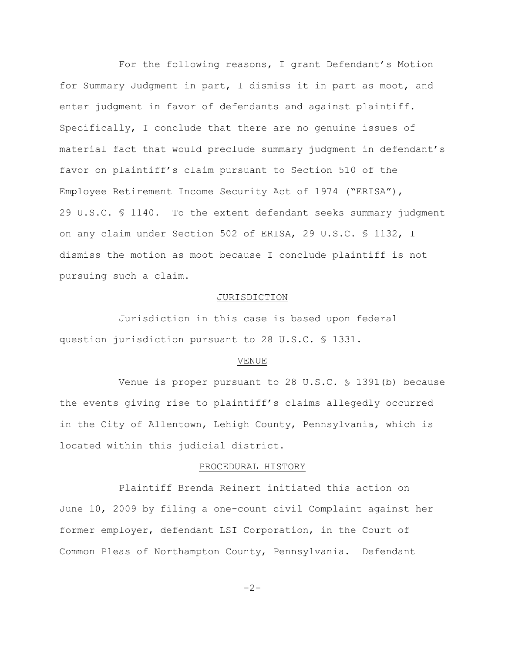For the following reasons, I grant Defendant's Motion for Summary Judgment in part, I dismiss it in part as moot, and enter judgment in favor of defendants and against plaintiff. Specifically, I conclude that there are no genuine issues of material fact that would preclude summary judgment in defendant's favor on plaintiff's claim pursuant to Section 510 of the Employee Retirement Income Security Act of 1974 ("ERISA"), 29 U.S.C. § 1140. To the extent defendant seeks summary judgment on any claim under Section 502 of ERISA, 29 U.S.C. § 1132, I dismiss the motion as moot because I conclude plaintiff is not pursuing such a claim.

#### JURISDICTION

Jurisdiction in this case is based upon federal question jurisdiction pursuant to 28 U.S.C. § 1331.

#### VENUE

Venue is proper pursuant to 28 U.S.C. § 1391(b) because the events giving rise to plaintiff's claims allegedly occurred in the City of Allentown, Lehigh County, Pennsylvania, which is located within this judicial district.

### PROCEDURAL HISTORY

Plaintiff Brenda Reinert initiated this action on June 10, 2009 by filing a one-count civil Complaint against her former employer, defendant LSI Corporation, in the Court of Common Pleas of Northampton County, Pennsylvania. Defendant

 $-2-$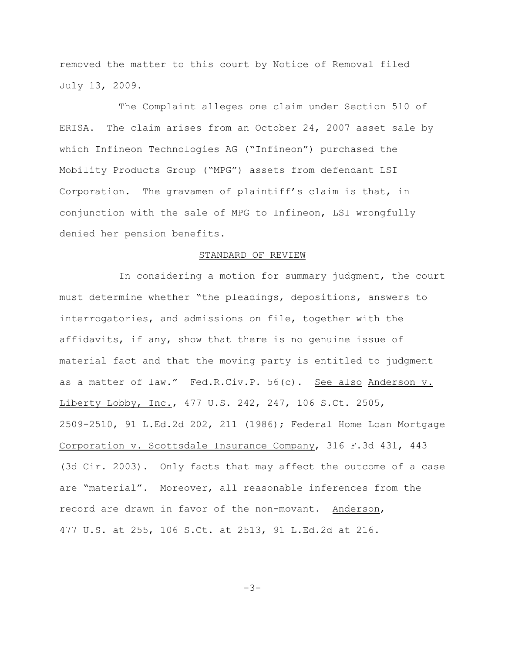removed the matter to this court by Notice of Removal filed July 13, 2009.

The Complaint alleges one claim under Section 510 of ERISA. The claim arises from an October 24, 2007 asset sale by which Infineon Technologies AG ("Infineon") purchased the Mobility Products Group ("MPG") assets from defendant LSI Corporation. The gravamen of plaintiff's claim is that, in conjunction with the sale of MPG to Infineon, LSI wrongfully denied her pension benefits.

### STANDARD OF REVIEW

In considering a motion for summary judgment, the court must determine whether "the pleadings, depositions, answers to interrogatories, and admissions on file, together with the affidavits, if any, show that there is no genuine issue of material fact and that the moving party is entitled to judgment as a matter of law." Fed.R.Civ.P. 56(c). See also Anderson v. Liberty Lobby, Inc., 477 U.S. 242, 247, 106 S.Ct. 2505, 2509-2510, 91 L.Ed.2d 202, 211 (1986); Federal Home Loan Mortgage Corporation v. Scottsdale Insurance Company, 316 F.3d 431, 443 (3d Cir. 2003). Only facts that may affect the outcome of a case are "material". Moreover, all reasonable inferences from the record are drawn in favor of the non-movant. Anderson, 477 U.S. at 255, 106 S.Ct. at 2513, 91 L.Ed.2d at 216.

 $-3-$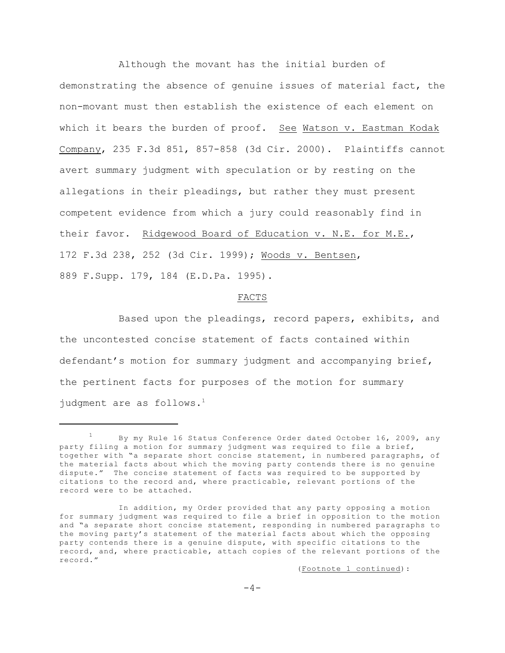Although the movant has the initial burden of demonstrating the absence of genuine issues of material fact, the non-movant must then establish the existence of each element on which it bears the burden of proof. See Watson v. Eastman Kodak Company, 235 F.3d 851, 857-858 (3d Cir. 2000). Plaintiffs cannot avert summary judgment with speculation or by resting on the allegations in their pleadings, but rather they must present competent evidence from which a jury could reasonably find in their favor. Ridgewood Board of Education v. N.E. for M.E., 172 F.3d 238, 252 (3d Cir. 1999); Woods v. Bentsen, 889 F.Supp. 179, 184 (E.D.Pa. 1995).

## FACTS

Based upon the pleadings, record papers, exhibits, and the uncontested concise statement of facts contained within defendant's motion for summary judgment and accompanying brief, the pertinent facts for purposes of the motion for summary judgment are as follows.<sup>1</sup>

(Footnote 1 continued):

By my Rule 16 Status Conference Order dated October 16, 2009, any <sup>1</sup> party filing a motion for summary judgment was required to file a brief, together with "a separate short concise statement, in numbered paragraphs, of the material facts about which the moving party contends there is no genuine dispute." The concise statement of facts was required to be supported by citations to the record and, where practicable, relevant portions of the record were to be attached.

In addition, my Order provided that any party opposing a motion for summary judgment was required to file a brief in opposition to the motion and "a separate short concise statement, responding in numbered paragraphs to the moving party's statement of the material facts about which the opposing party contends there is a genuine dispute, with specific citations to the record, and, where practicable, attach copies of the relevant portions of the record."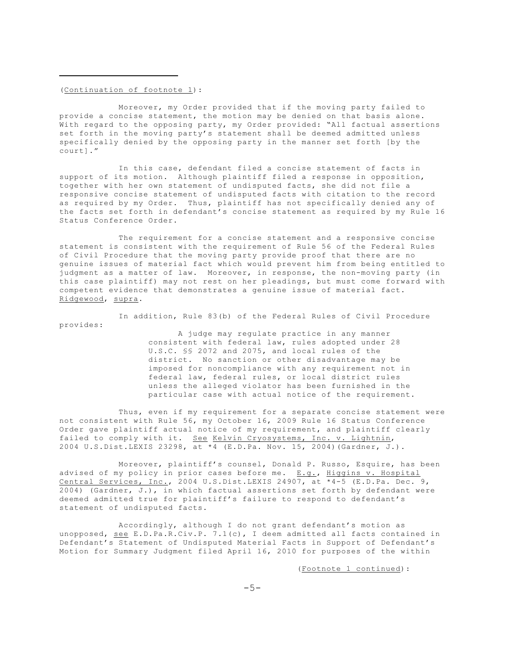(Continuation of footnote 1):

Moreover, my Order provided that if the moving party failed to provide a concise statement, the motion may be denied on that basis alone. With regard to the opposing party, my Order provided: "All factual assertions set forth in the moving party's statement shall be deemed admitted unless specifically denied by the opposing party in the manner set forth [by the court]."

In this case, defendant filed a concise statement of facts in support of its motion. Although plaintiff filed a response in opposition, together with her own statement of undisputed facts, she did not file a responsive concise statement of undisputed facts with citation to the record as required by my Order. Thus, plaintiff has not specifically denied any of the facts set forth in defendant's concise statement as required by my Rule 16 Status Conference Order.

The requirement for a concise statement and a responsive concise statement is consistent with the requirement of Rule 56 of the Federal Rules of Civil Procedure that the moving party provide proof that there are no genuine issues of material fact which would prevent him from being entitled to judgment as a matter of law. Moreover, in response, the non-moving party (in this case plaintiff) may not rest on her pleadings, but must come forward with competent evidence that demonstrates a genuine issue of material fact. Ridgewood, supra.

In addition, Rule 83(b) of the Federal Rules of Civil Procedure provides:

A judge may regulate practice in any manner consistent with federal law, rules adopted under 28 U.S.C. §§ 2072 and 2075, and local rules of the district. No sanction or other disadvantage may be imposed for noncompliance with any requirement not in federal law, federal rules, or local district rules unless the alleged violator has been furnished in the particular case with actual notice of the requirement.

Thus, even if my requirement for a separate concise statement were not consistent with Rule 56, my October 16, 2009 Rule 16 Status Conference Order gave plaintiff actual notice of my requirement, and plaintiff clearly failed to comply with it. See Kelvin Cryosystems, Inc. v. Lightnin, 2004 U.S.Dist.LEXIS 23298, at \*4 (E.D.Pa. Nov. 15, 2004)(Gardner, J.).

Moreover, plaintiff's counsel, Donald P. Russo, Esquire, has been advised of my policy in prior cases before me. E.g., Higgins v. Hospital Central Services, Inc., 2004 U.S.Dist.LEXIS 24907, at \*4-5 (E.D.Pa. Dec. 9, 2004) (Gardner, J.), in which factual assertions set forth by defendant were deemed admitted true for plaintiff's failure to respond to defendant's statement of undisputed facts.

Accordingly, although I do not grant defendant's motion as unopposed, see E.D.Pa.R.Civ.P. 7.1(c), I deem admitted all facts contained in Defendant's Statement of Undisputed Material Facts in Support of Defendant's Motion for Summary Judgment filed April 16, 2010 for purposes of the within

(Footnote 1 continued):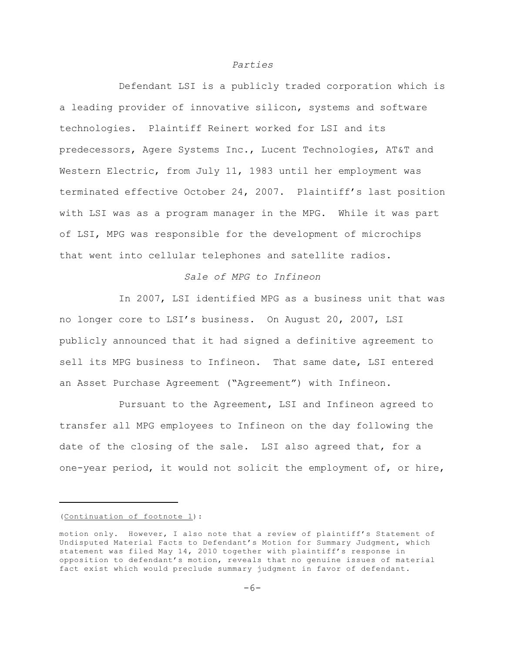## *Parties*

Defendant LSI is a publicly traded corporation which is a leading provider of innovative silicon, systems and software technologies. Plaintiff Reinert worked for LSI and its predecessors, Agere Systems Inc., Lucent Technologies, AT&T and Western Electric, from July 11, 1983 until her employment was terminated effective October 24, 2007. Plaintiff's last position with LSI was as a program manager in the MPG. While it was part of LSI, MPG was responsible for the development of microchips that went into cellular telephones and satellite radios.

# *Sale of MPG to Infineon*

In 2007, LSI identified MPG as a business unit that was no longer core to LSI's business. On August 20, 2007, LSI publicly announced that it had signed a definitive agreement to sell its MPG business to Infineon. That same date, LSI entered an Asset Purchase Agreement ("Agreement") with Infineon.

Pursuant to the Agreement, LSI and Infineon agreed to transfer all MPG employees to Infineon on the day following the date of the closing of the sale. LSI also agreed that, for a one-year period, it would not solicit the employment of, or hire,

## (Continuation of footnote 1):

motion only. However, I also note that a review of plaintiff's Statement of Undisputed Material Facts to Defendant's Motion for Summary Judgment, which statement was filed May 14, 2010 together with plaintiff's response in opposition to defendant's motion, reveals that no genuine issues of material fact exist which would preclude summary judgment in favor of defendant.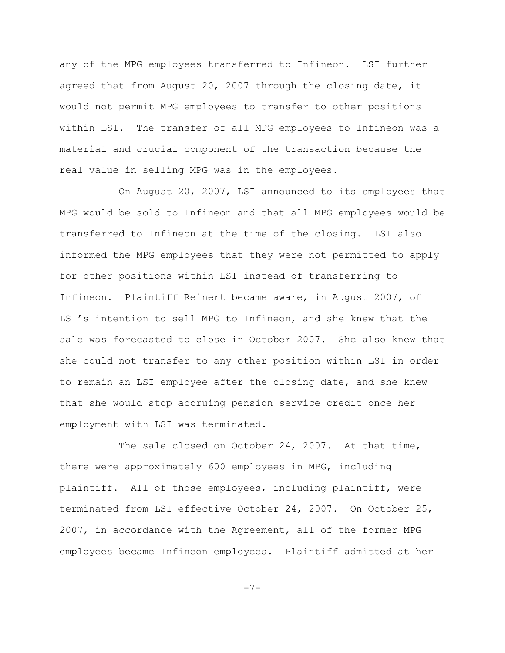any of the MPG employees transferred to Infineon. LSI further agreed that from August 20, 2007 through the closing date, it would not permit MPG employees to transfer to other positions within LSI. The transfer of all MPG employees to Infineon was a material and crucial component of the transaction because the real value in selling MPG was in the employees.

On August 20, 2007, LSI announced to its employees that MPG would be sold to Infineon and that all MPG employees would be transferred to Infineon at the time of the closing. LSI also informed the MPG employees that they were not permitted to apply for other positions within LSI instead of transferring to Infineon. Plaintiff Reinert became aware, in August 2007, of LSI's intention to sell MPG to Infineon, and she knew that the sale was forecasted to close in October 2007. She also knew that she could not transfer to any other position within LSI in order to remain an LSI employee after the closing date, and she knew that she would stop accruing pension service credit once her employment with LSI was terminated.

The sale closed on October 24, 2007. At that time, there were approximately 600 employees in MPG, including plaintiff. All of those employees, including plaintiff, were terminated from LSI effective October 24, 2007. On October 25, 2007, in accordance with the Agreement, all of the former MPG employees became Infineon employees. Plaintiff admitted at her

```
-7-
```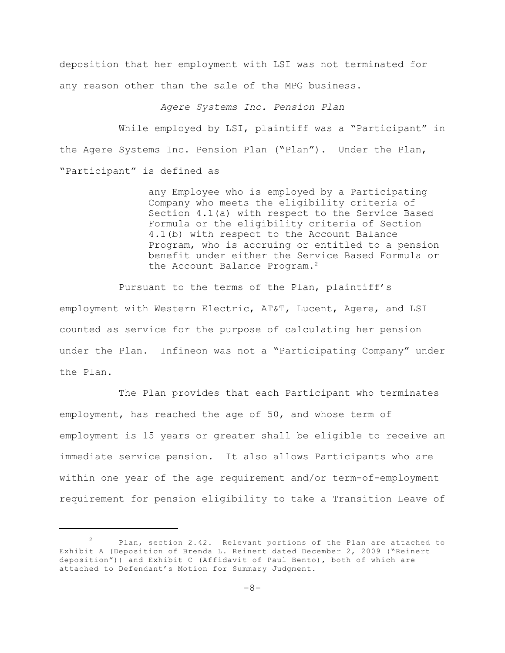deposition that her employment with LSI was not terminated for any reason other than the sale of the MPG business.

*Agere Systems Inc. Pension Plan*

While employed by LSI, plaintiff was a "Participant" in the Agere Systems Inc. Pension Plan ("Plan"). Under the Plan, "Participant" is defined as

> any Employee who is employed by a Participating Company who meets the eligibility criteria of Section 4.1(a) with respect to the Service Based Formula or the eligibility criteria of Section 4.1(b) with respect to the Account Balance Program, who is accruing or entitled to a pension benefit under either the Service Based Formula or the Account Balance Program.<sup>2</sup>

Pursuant to the terms of the Plan, plaintiff's employment with Western Electric, AT&T, Lucent, Agere, and LSI counted as service for the purpose of calculating her pension under the Plan. Infineon was not a "Participating Company" under the Plan.

The Plan provides that each Participant who terminates employment, has reached the age of 50, and whose term of employment is 15 years or greater shall be eligible to receive an immediate service pension. It also allows Participants who are within one year of the age requirement and/or term-of-employment requirement for pension eligibility to take a Transition Leave of

Plan, section 2.42. Relevant portions of the Plan are attached to Exhibit A (Deposition of Brenda L. Reinert dated December 2, 2009 ("Reinert deposition")) and Exhibit C (Affidavit of Paul Bento), both of which are attached to Defendant's Motion for Summary Judgment.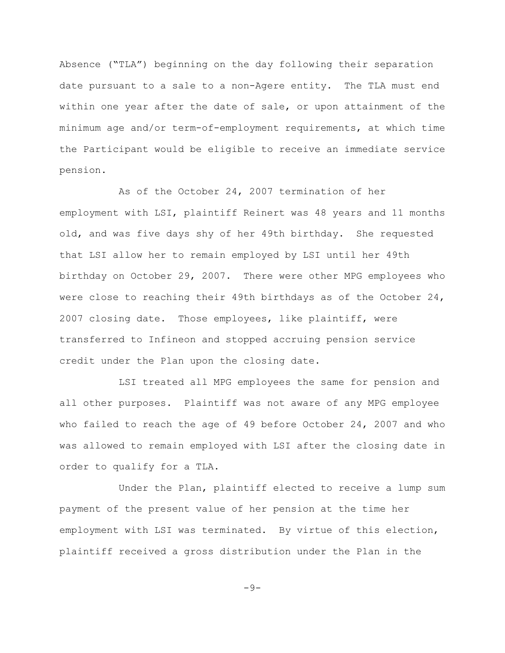Absence ("TLA") beginning on the day following their separation date pursuant to a sale to a non-Agere entity. The TLA must end within one year after the date of sale, or upon attainment of the minimum age and/or term-of-employment requirements, at which time the Participant would be eligible to receive an immediate service pension.

As of the October 24, 2007 termination of her employment with LSI, plaintiff Reinert was 48 years and 11 months old, and was five days shy of her 49th birthday. She requested that LSI allow her to remain employed by LSI until her 49th birthday on October 29, 2007. There were other MPG employees who were close to reaching their 49th birthdays as of the October 24, 2007 closing date. Those employees, like plaintiff, were transferred to Infineon and stopped accruing pension service credit under the Plan upon the closing date.

LSI treated all MPG employees the same for pension and all other purposes. Plaintiff was not aware of any MPG employee who failed to reach the age of 49 before October 24, 2007 and who was allowed to remain employed with LSI after the closing date in order to qualify for a TLA.

Under the Plan, plaintiff elected to receive a lump sum payment of the present value of her pension at the time her employment with LSI was terminated. By virtue of this election, plaintiff received a gross distribution under the Plan in the

 $-9-$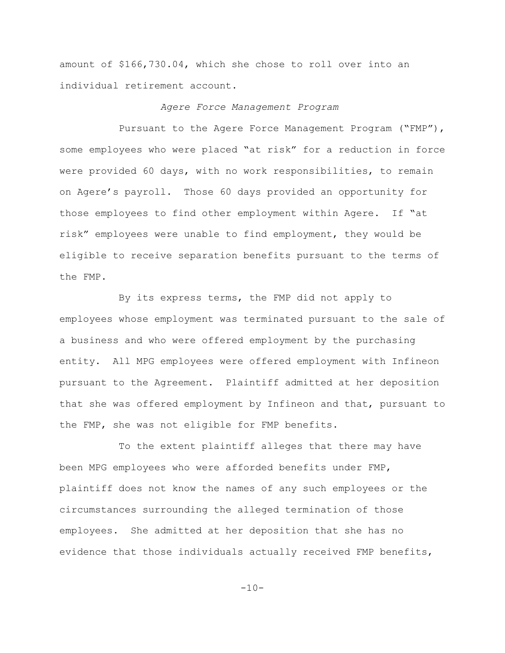amount of \$166,730.04, which she chose to roll over into an individual retirement account.

#### *Agere Force Management Program*

Pursuant to the Agere Force Management Program ("FMP"), some employees who were placed "at risk" for a reduction in force were provided 60 days, with no work responsibilities, to remain on Agere's payroll. Those 60 days provided an opportunity for those employees to find other employment within Agere. If "at risk" employees were unable to find employment, they would be eligible to receive separation benefits pursuant to the terms of the FMP.

By its express terms, the FMP did not apply to employees whose employment was terminated pursuant to the sale of a business and who were offered employment by the purchasing entity. All MPG employees were offered employment with Infineon pursuant to the Agreement. Plaintiff admitted at her deposition that she was offered employment by Infineon and that, pursuant to the FMP, she was not eligible for FMP benefits.

To the extent plaintiff alleges that there may have been MPG employees who were afforded benefits under FMP, plaintiff does not know the names of any such employees or the circumstances surrounding the alleged termination of those employees. She admitted at her deposition that she has no evidence that those individuals actually received FMP benefits,

 $-10-$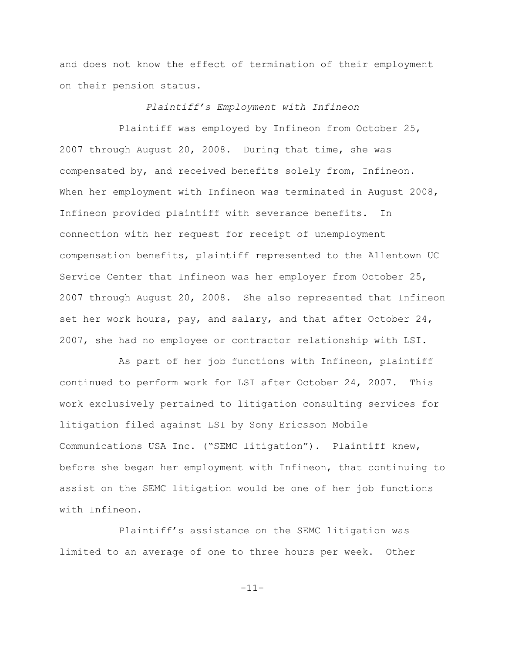and does not know the effect of termination of their employment on their pension status.

### *Plaintiff's Employment with Infineon*

Plaintiff was employed by Infineon from October 25, 2007 through August 20, 2008. During that time, she was compensated by, and received benefits solely from, Infineon. When her employment with Infineon was terminated in August 2008, Infineon provided plaintiff with severance benefits. In connection with her request for receipt of unemployment compensation benefits, plaintiff represented to the Allentown UC Service Center that Infineon was her employer from October 25, 2007 through August 20, 2008. She also represented that Infineon set her work hours, pay, and salary, and that after October 24, 2007, she had no employee or contractor relationship with LSI.

As part of her job functions with Infineon, plaintiff continued to perform work for LSI after October 24, 2007. This work exclusively pertained to litigation consulting services for litigation filed against LSI by Sony Ericsson Mobile Communications USA Inc. ("SEMC litigation"). Plaintiff knew, before she began her employment with Infineon, that continuing to assist on the SEMC litigation would be one of her job functions with Infineon.

Plaintiff's assistance on the SEMC litigation was limited to an average of one to three hours per week. Other

-11-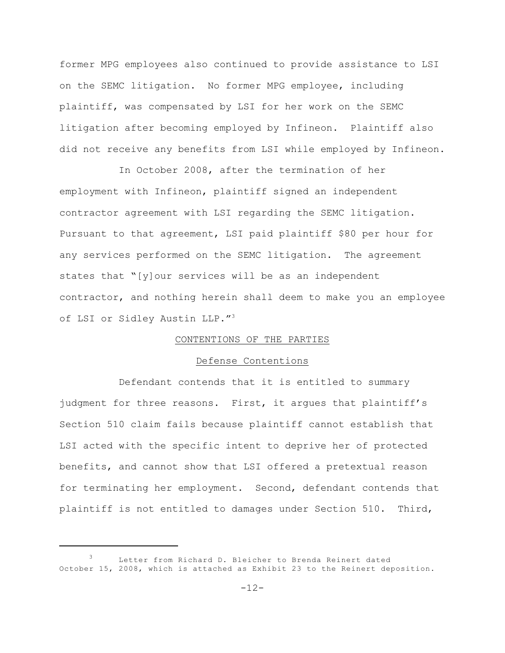former MPG employees also continued to provide assistance to LSI on the SEMC litigation. No former MPG employee, including plaintiff, was compensated by LSI for her work on the SEMC litigation after becoming employed by Infineon. Plaintiff also did not receive any benefits from LSI while employed by Infineon.

In October 2008, after the termination of her employment with Infineon, plaintiff signed an independent contractor agreement with LSI regarding the SEMC litigation. Pursuant to that agreement, LSI paid plaintiff \$80 per hour for any services performed on the SEMC litigation. The agreement states that "[y]our services will be as an independent contractor, and nothing herein shall deem to make you an employee of LSI or Sidley Austin LLP."<sup>3</sup>

## CONTENTIONS OF THE PARTIES

## Defense Contentions

Defendant contends that it is entitled to summary judgment for three reasons. First, it argues that plaintiff's Section 510 claim fails because plaintiff cannot establish that LSI acted with the specific intent to deprive her of protected benefits, and cannot show that LSI offered a pretextual reason for terminating her employment. Second, defendant contends that plaintiff is not entitled to damages under Section 510. Third,

Letter from Richard D. Bleicher to Brenda Reinert dated October 15, 2008, which is attached as Exhibit 23 to the Reinert deposition.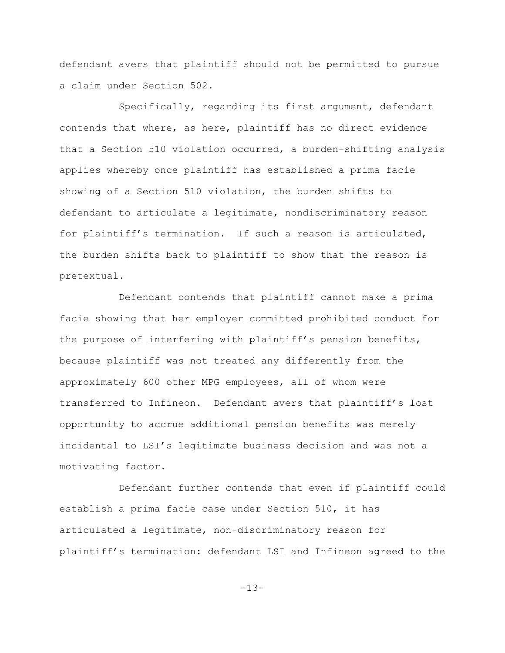defendant avers that plaintiff should not be permitted to pursue a claim under Section 502.

Specifically, regarding its first argument, defendant contends that where, as here, plaintiff has no direct evidence that a Section 510 violation occurred, a burden-shifting analysis applies whereby once plaintiff has established a prima facie showing of a Section 510 violation, the burden shifts to defendant to articulate a legitimate, nondiscriminatory reason for plaintiff's termination. If such a reason is articulated, the burden shifts back to plaintiff to show that the reason is pretextual.

Defendant contends that plaintiff cannot make a prima facie showing that her employer committed prohibited conduct for the purpose of interfering with plaintiff's pension benefits, because plaintiff was not treated any differently from the approximately 600 other MPG employees, all of whom were transferred to Infineon. Defendant avers that plaintiff's lost opportunity to accrue additional pension benefits was merely incidental to LSI's legitimate business decision and was not a motivating factor.

Defendant further contends that even if plaintiff could establish a prima facie case under Section 510, it has articulated a legitimate, non-discriminatory reason for plaintiff's termination: defendant LSI and Infineon agreed to the

-13-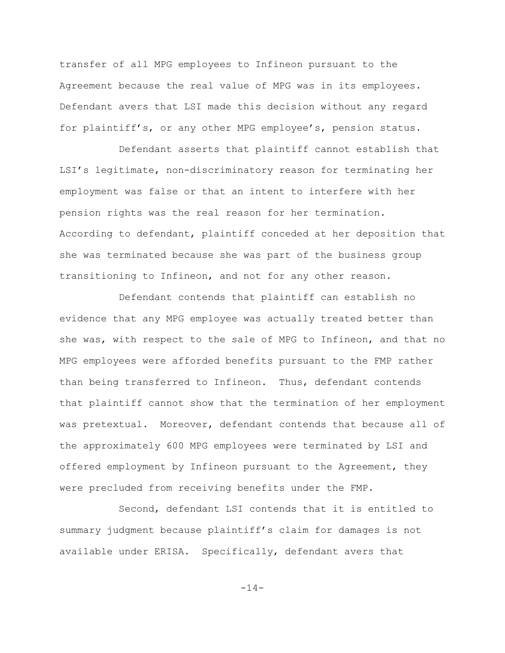transfer of all MPG employees to Infineon pursuant to the Agreement because the real value of MPG was in its employees. Defendant avers that LSI made this decision without any regard for plaintiff's, or any other MPG employee's, pension status.

Defendant asserts that plaintiff cannot establish that LSI's legitimate, non-discriminatory reason for terminating her employment was false or that an intent to interfere with her pension rights was the real reason for her termination. According to defendant, plaintiff conceded at her deposition that she was terminated because she was part of the business group transitioning to Infineon, and not for any other reason.

Defendant contends that plaintiff can establish no evidence that any MPG employee was actually treated better than she was, with respect to the sale of MPG to Infineon, and that no MPG employees were afforded benefits pursuant to the FMP rather than being transferred to Infineon. Thus, defendant contends that plaintiff cannot show that the termination of her employment was pretextual. Moreover, defendant contends that because all of the approximately 600 MPG employees were terminated by LSI and offered employment by Infineon pursuant to the Agreement, they were precluded from receiving benefits under the FMP.

Second, defendant LSI contends that it is entitled to summary judgment because plaintiff's claim for damages is not available under ERISA. Specifically, defendant avers that

-14-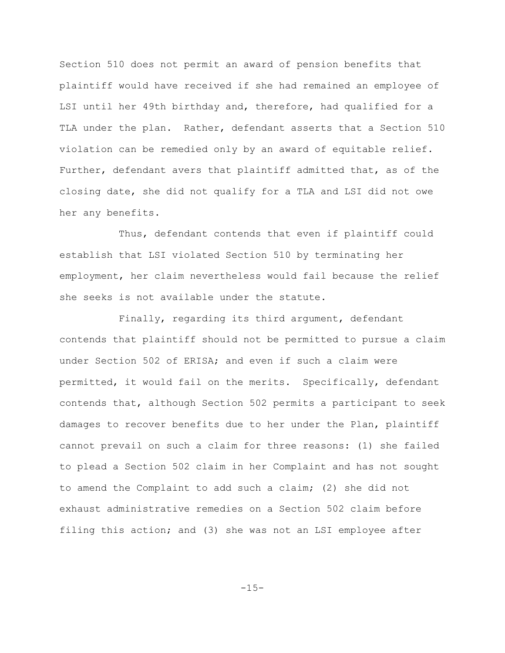Section 510 does not permit an award of pension benefits that plaintiff would have received if she had remained an employee of LSI until her 49th birthday and, therefore, had qualified for a TLA under the plan. Rather, defendant asserts that a Section 510 violation can be remedied only by an award of equitable relief. Further, defendant avers that plaintiff admitted that, as of the closing date, she did not qualify for a TLA and LSI did not owe her any benefits.

Thus, defendant contends that even if plaintiff could establish that LSI violated Section 510 by terminating her employment, her claim nevertheless would fail because the relief she seeks is not available under the statute.

Finally, regarding its third argument, defendant contends that plaintiff should not be permitted to pursue a claim under Section 502 of ERISA; and even if such a claim were permitted, it would fail on the merits. Specifically, defendant contends that, although Section 502 permits a participant to seek damages to recover benefits due to her under the Plan, plaintiff cannot prevail on such a claim for three reasons: (1) she failed to plead a Section 502 claim in her Complaint and has not sought to amend the Complaint to add such a claim; (2) she did not exhaust administrative remedies on a Section 502 claim before filing this action; and (3) she was not an LSI employee after

-15-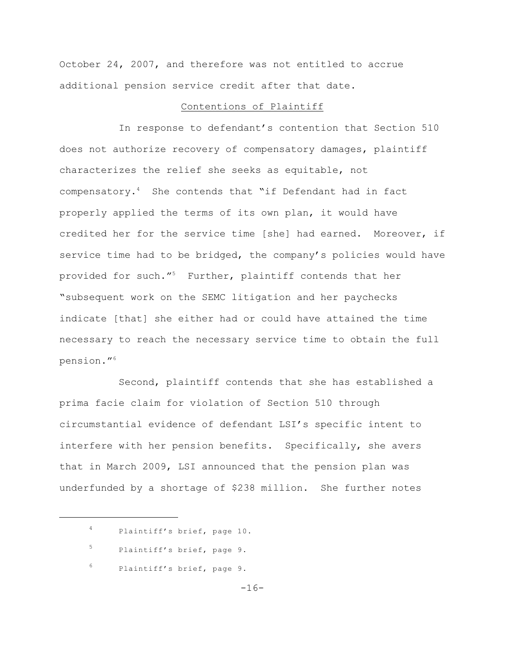October 24, 2007, and therefore was not entitled to accrue additional pension service credit after that date.

#### Contentions of Plaintiff

In response to defendant's contention that Section 510 does not authorize recovery of compensatory damages, plaintiff characterizes the relief she seeks as equitable, not compensatory. $4$  She contends that "if Defendant had in fact properly applied the terms of its own plan, it would have credited her for the service time [she] had earned. Moreover, if service time had to be bridged, the company's policies would have provided for such."<sup>5</sup> Further, plaintiff contends that her "subsequent work on the SEMC litigation and her paychecks indicate [that] she either had or could have attained the time necessary to reach the necessary service time to obtain the full pension." 6

Second, plaintiff contends that she has established a prima facie claim for violation of Section 510 through circumstantial evidence of defendant LSI's specific intent to interfere with her pension benefits. Specifically, she avers that in March 2009, LSI announced that the pension plan was underfunded by a shortage of \$238 million. She further notes

Plaintiff's brief, page 10. <sup>4</sup> 5 Plaintiff's brief, page 9.  $6$  Plaintiff's brief, page 9.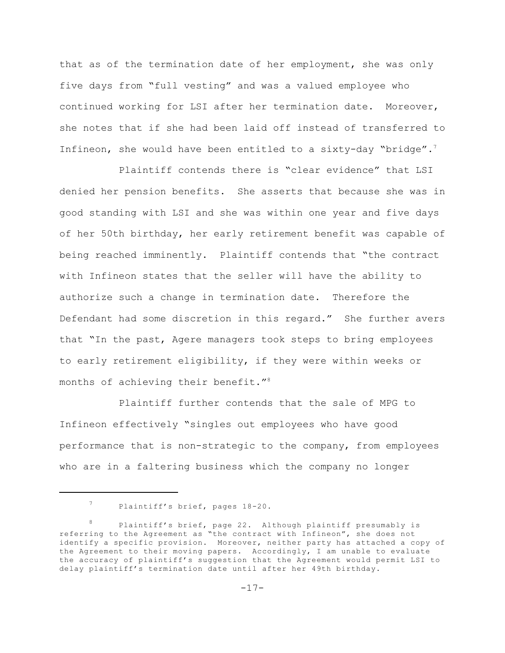that as of the termination date of her employment, she was only five days from "full vesting" and was a valued employee who continued working for LSI after her termination date. Moreover, she notes that if she had been laid off instead of transferred to Infineon, she would have been entitled to a sixty-day "bridge".<sup>7</sup>

Plaintiff contends there is "clear evidence" that LSI denied her pension benefits. She asserts that because she was in good standing with LSI and she was within one year and five days of her 50th birthday, her early retirement benefit was capable of being reached imminently. Plaintiff contends that "the contract with Infineon states that the seller will have the ability to authorize such a change in termination date. Therefore the Defendant had some discretion in this regard." She further avers that "In the past, Agere managers took steps to bring employees to early retirement eligibility, if they were within weeks or months of achieving their benefit."<sup>8</sup>

Plaintiff further contends that the sale of MPG to Infineon effectively "singles out employees who have good performance that is non-strategic to the company, from employees who are in a faltering business which the company no longer

<sup>&</sup>lt;sup>7</sup> Plaintiff's brief, pages 18-20.

Plaintiff's brief, page 22. Although plaintiff presumably is referring to the Agreement as "the contract with Infineon", she does not identify a specific provision. Moreover, neither party has attached a copy of the Agreement to their moving papers. Accordingly, I am unable to evaluate the accuracy of plaintiff's suggestion that the Agreement would permit LSI to delay plaintiff's termination date until after her 49th birthday.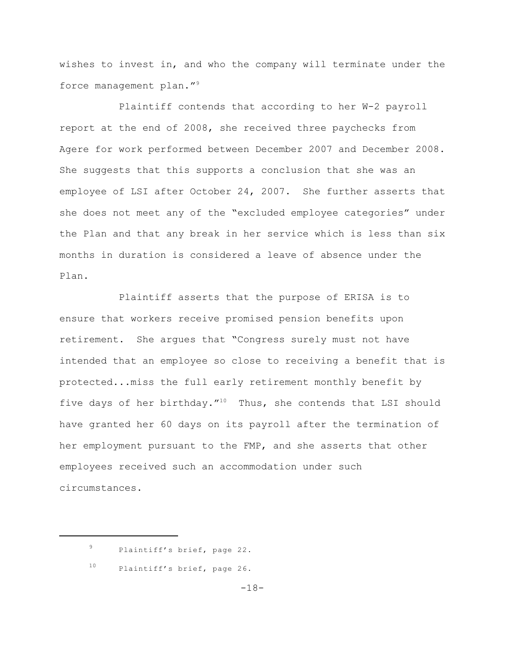wishes to invest in, and who the company will terminate under the force management plan."<sup>9</sup>

Plaintiff contends that according to her W-2 payroll report at the end of 2008, she received three paychecks from Agere for work performed between December 2007 and December 2008. She suggests that this supports a conclusion that she was an employee of LSI after October 24, 2007. She further asserts that she does not meet any of the "excluded employee categories" under the Plan and that any break in her service which is less than six months in duration is considered a leave of absence under the Plan.

Plaintiff asserts that the purpose of ERISA is to ensure that workers receive promised pension benefits upon retirement. She argues that "Congress surely must not have intended that an employee so close to receiving a benefit that is protected...miss the full early retirement monthly benefit by five days of her birthday."<sup>10</sup> Thus, she contends that LSI should have granted her 60 days on its payroll after the termination of her employment pursuant to the FMP, and she asserts that other employees received such an accommodation under such circumstances.

 $^{10}$  Plaintiff's brief, page 26.

<sup>&</sup>lt;sup>9</sup> Plaintiff's brief, page 22.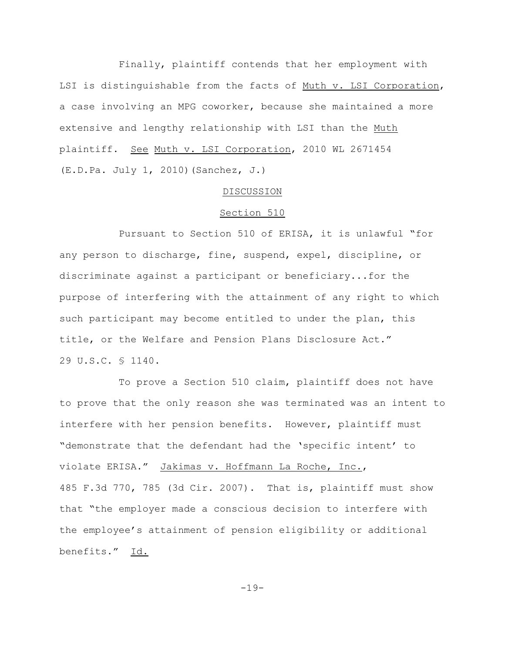Finally, plaintiff contends that her employment with LSI is distinguishable from the facts of Muth v. LSI Corporation, a case involving an MPG coworker, because she maintained a more extensive and lengthy relationship with LSI than the Muth plaintiff. See Muth v. LSI Corporation, 2010 WL 2671454 (E.D.Pa. July 1, 2010)(Sanchez, J.)

#### DISCUSSION

## Section 510

Pursuant to Section 510 of ERISA, it is unlawful "for any person to discharge, fine, suspend, expel, discipline, or discriminate against a participant or beneficiary...for the purpose of interfering with the attainment of any right to which such participant may become entitled to under the plan, this title, or the Welfare and Pension Plans Disclosure Act." 29 U.S.C. § 1140.

To prove a Section 510 claim, plaintiff does not have to prove that the only reason she was terminated was an intent to interfere with her pension benefits. However, plaintiff must "demonstrate that the defendant had the 'specific intent' to violate ERISA." Jakimas v. Hoffmann La Roche, Inc., 485 F.3d 770, 785 (3d Cir. 2007). That is, plaintiff must show that "the employer made a conscious decision to interfere with the employee's attainment of pension eligibility or additional benefits." Id.

-19-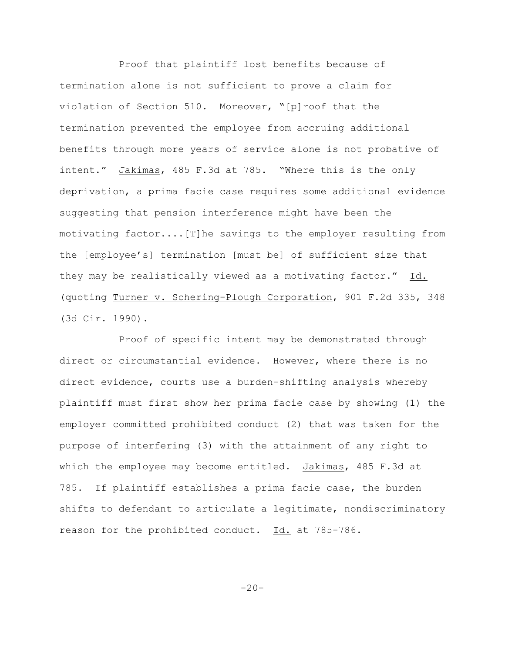Proof that plaintiff lost benefits because of termination alone is not sufficient to prove a claim for violation of Section 510. Moreover, "[p]roof that the termination prevented the employee from accruing additional benefits through more years of service alone is not probative of intent." Jakimas, 485 F.3d at 785. "Where this is the only deprivation, a prima facie case requires some additional evidence suggesting that pension interference might have been the motivating factor....[T]he savings to the employer resulting from the [employee's] termination [must be] of sufficient size that they may be realistically viewed as a motivating factor." Id. (quoting Turner v. Schering-Plough Corporation, 901 F.2d 335, 348 (3d Cir. 1990).

Proof of specific intent may be demonstrated through direct or circumstantial evidence. However, where there is no direct evidence, courts use a burden-shifting analysis whereby plaintiff must first show her prima facie case by showing (1) the employer committed prohibited conduct (2) that was taken for the purpose of interfering (3) with the attainment of any right to which the employee may become entitled. Jakimas, 485 F.3d at 785. If plaintiff establishes a prima facie case, the burden shifts to defendant to articulate a legitimate, nondiscriminatory reason for the prohibited conduct. Id. at 785-786.

 $-20-$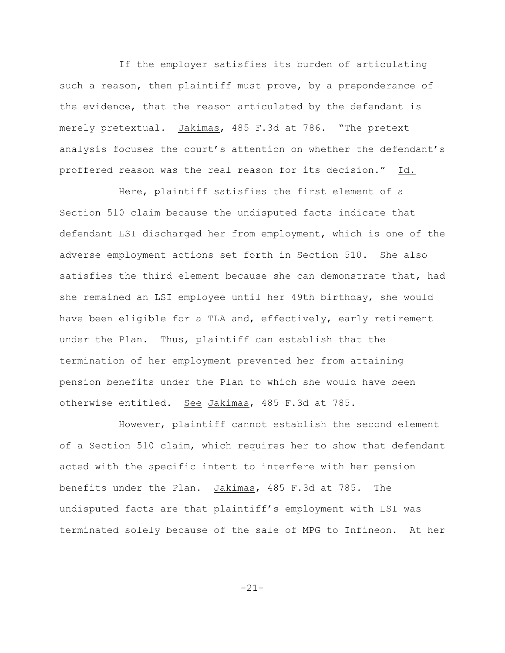If the employer satisfies its burden of articulating such a reason, then plaintiff must prove, by a preponderance of the evidence, that the reason articulated by the defendant is merely pretextual. Jakimas, 485 F.3d at 786. "The pretext analysis focuses the court's attention on whether the defendant's proffered reason was the real reason for its decision." Id.

Here, plaintiff satisfies the first element of a Section 510 claim because the undisputed facts indicate that defendant LSI discharged her from employment, which is one of the adverse employment actions set forth in Section 510. She also satisfies the third element because she can demonstrate that, had she remained an LSI employee until her 49th birthday, she would have been eligible for a TLA and, effectively, early retirement under the Plan. Thus, plaintiff can establish that the termination of her employment prevented her from attaining pension benefits under the Plan to which she would have been otherwise entitled. See Jakimas, 485 F.3d at 785.

However, plaintiff cannot establish the second element of a Section 510 claim, which requires her to show that defendant acted with the specific intent to interfere with her pension benefits under the Plan. Jakimas, 485 F.3d at 785. The undisputed facts are that plaintiff's employment with LSI was terminated solely because of the sale of MPG to Infineon. At her

-21-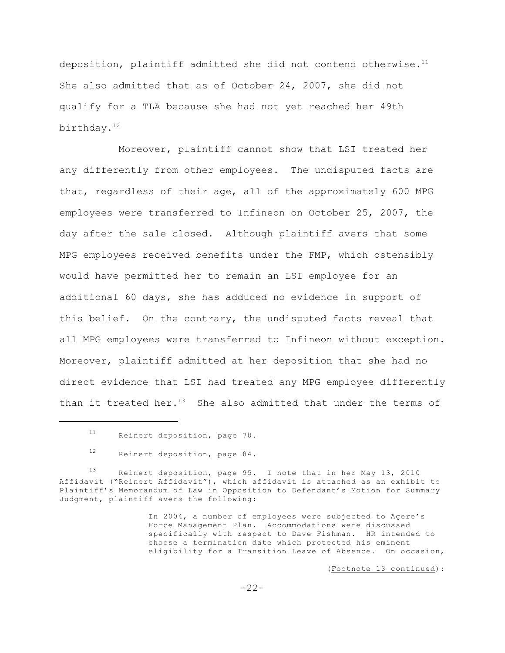deposition, plaintiff admitted she did not contend otherwise. $11$ She also admitted that as of October 24, 2007, she did not qualify for a TLA because she had not yet reached her 49th birthday. 12

Moreover, plaintiff cannot show that LSI treated her any differently from other employees. The undisputed facts are that, regardless of their age, all of the approximately 600 MPG employees were transferred to Infineon on October 25, 2007, the day after the sale closed. Although plaintiff avers that some MPG employees received benefits under the FMP, which ostensibly would have permitted her to remain an LSI employee for an additional 60 days, she has adduced no evidence in support of this belief. On the contrary, the undisputed facts reveal that all MPG employees were transferred to Infineon without exception. Moreover, plaintiff admitted at her deposition that she had no direct evidence that LSI had treated any MPG employee differently than it treated her. $13$  She also admitted that under the terms of

(Footnote 13 continued):

 $11$  Reinert deposition, page 70.

 $12$  Reinert deposition, page 84.

Reinert deposition, page 95. I note that in her May 13, 2010 Affidavit ("Reinert Affidavit"), which affidavit is attached as an exhibit to Plaintiff's Memorandum of Law in Opposition to Defendant's Motion for Summary Judgment, plaintiff avers the following:

In 2004, a number of employees were subjected to Agere's Force Management Plan. Accommodations were discussed specifically with respect to Dave Fishman. HR intended to choose a termination date which protected his eminent eligibility for a Transition Leave of Absence. On occasion,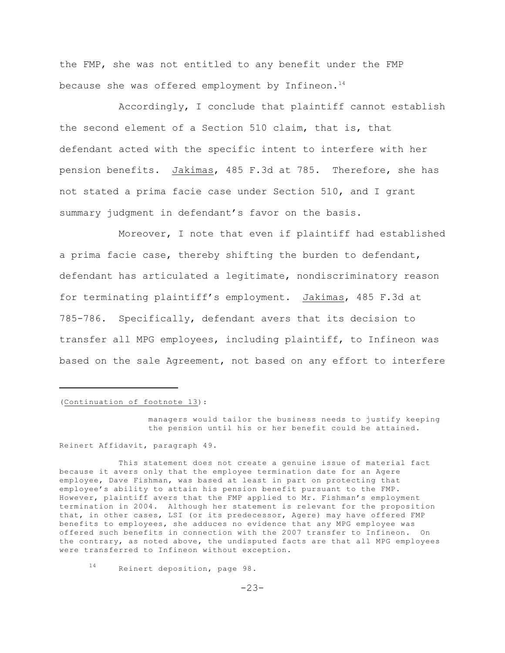the FMP, she was not entitled to any benefit under the FMP because she was offered employment by Infineon. $14$ 

Accordingly, I conclude that plaintiff cannot establish the second element of a Section 510 claim, that is, that defendant acted with the specific intent to interfere with her pension benefits. Jakimas, 485 F.3d at 785. Therefore, she has not stated a prima facie case under Section 510, and I grant summary judgment in defendant's favor on the basis.

Moreover, I note that even if plaintiff had established a prima facie case, thereby shifting the burden to defendant, defendant has articulated a legitimate, nondiscriminatory reason for terminating plaintiff's employment. Jakimas, 485 F.3d at 785-786. Specifically, defendant avers that its decision to transfer all MPG employees, including plaintiff, to Infineon was based on the sale Agreement, not based on any effort to interfere

(Continuation of footnote 13):

managers would tailor the business needs to justify keeping the pension until his or her benefit could be attained.

Reinert Affidavit, paragraph 49.

This statement does not create a genuine issue of material fact because it avers only that the employee termination date for an Agere employee, Dave Fishman, was based at least in part on protecting that employee's ability to attain his pension benefit pursuant to the FMP. However, plaintiff avers that the FMP applied to Mr. Fishman's employment termination in 2004. Although her statement is relevant for the proposition that, in other cases, LSI (or its predecessor, Agere) may have offered FMP benefits to employees, she adduces no evidence that any MPG employee was offered such benefits in connection with the 2007 transfer to Infineon. On the contrary, as noted above, the undisputed facts are that all MPG employees were transferred to Infineon without exception.

 $14$  Reinert deposition, page 98.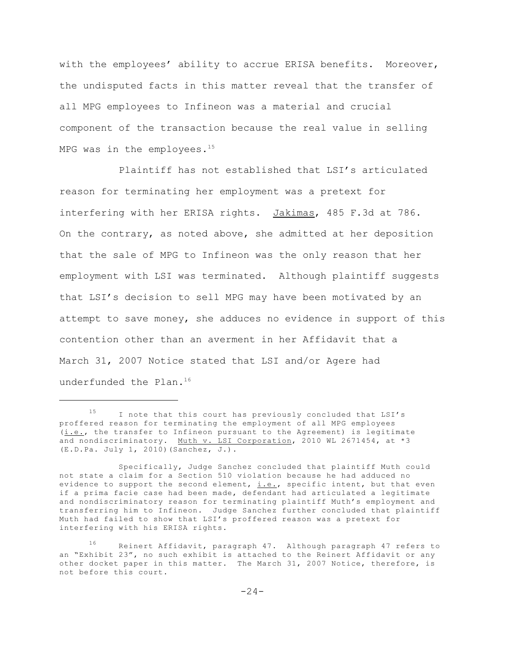with the employees' ability to accrue ERISA benefits. Moreover, the undisputed facts in this matter reveal that the transfer of all MPG employees to Infineon was a material and crucial component of the transaction because the real value in selling MPG was in the employees. $15$ 

Plaintiff has not established that LSI's articulated reason for terminating her employment was a pretext for interfering with her ERISA rights. Jakimas, 485 F.3d at 786. On the contrary, as noted above, she admitted at her deposition that the sale of MPG to Infineon was the only reason that her employment with LSI was terminated. Although plaintiff suggests that LSI's decision to sell MPG may have been motivated by an attempt to save money, she adduces no evidence in support of this contention other than an averment in her Affidavit that a March 31, 2007 Notice stated that LSI and/or Agere had underfunded the Plan.<sup>16</sup>

 $15$  I note that this court has previously concluded that LSI's proffered reason for terminating the employment of all MPG employees (i.e., the transfer to Infineon pursuant to the Agreement) is legitimate and nondiscriminatory. Muth v. LSI Corporation, 2010 WL 2671454, at \*3 (E.D.Pa. July 1, 2010)(Sanchez, J.).

Specifically, Judge Sanchez concluded that plaintiff Muth could not state a claim for a Section 510 violation because he had adduced no evidence to support the second element,  $i.e.,$  specific intent, but that even if a prima facie case had been made, defendant had articulated a legitimate and nondiscriminatory reason for terminating plaintiff Muth's employment and transferring him to Infineon. Judge Sanchez further concluded that plaintiff Muth had failed to show that LSI's proffered reason was a pretext for interfering with his ERISA rights.

<sup>16</sup> Reinert Affidavit, paragraph 47. Although paragraph 47 refers to an "Exhibit 23", no such exhibit is attached to the Reinert Affidavit or any other docket paper in this matter. The March 31, 2007 Notice, therefore, is not before this court.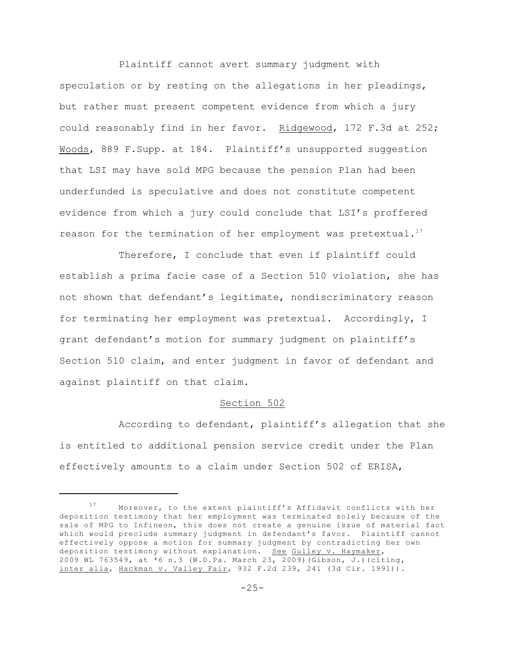Plaintiff cannot avert summary judgment with speculation or by resting on the allegations in her pleadings, but rather must present competent evidence from which a jury could reasonably find in her favor. Ridgewood, 172 F.3d at 252; Woods, 889 F.Supp. at 184. Plaintiff's unsupported suggestion that LSI may have sold MPG because the pension Plan had been underfunded is speculative and does not constitute competent evidence from which a jury could conclude that LSI's proffered reason for the termination of her employment was pretextual. $17$ 

Therefore, I conclude that even if plaintiff could establish a prima facie case of a Section 510 violation, she has not shown that defendant's legitimate, nondiscriminatory reason for terminating her employment was pretextual. Accordingly, I grant defendant's motion for summary judgment on plaintiff's Section 510 claim, and enter judgment in favor of defendant and against plaintiff on that claim.

## Section 502

According to defendant, plaintiff's allegation that she is entitled to additional pension service credit under the Plan effectively amounts to a claim under Section 502 of ERISA,

Moreover, to the extent plaintiff's Affidavit conflicts with her deposition testimony that her employment was terminated solely because of the sale of MPG to Infineon, this does not create a genuine issue of material fact which would preclude summary judgment in defendant's favor. Plaintiff cannot effectively oppose a motion for summary judgment by contradicting her own deposition testimony without explanation. See Gulley v. Haymaker, 2009 WL 763549, at \*6 n.3 (W.D.Pa. March 23, 2009)(Gibson, J.)(citing, inter alia, Hackman v. Valley Fair, 932 F.2d 239, 241 (3d Cir. 1991)).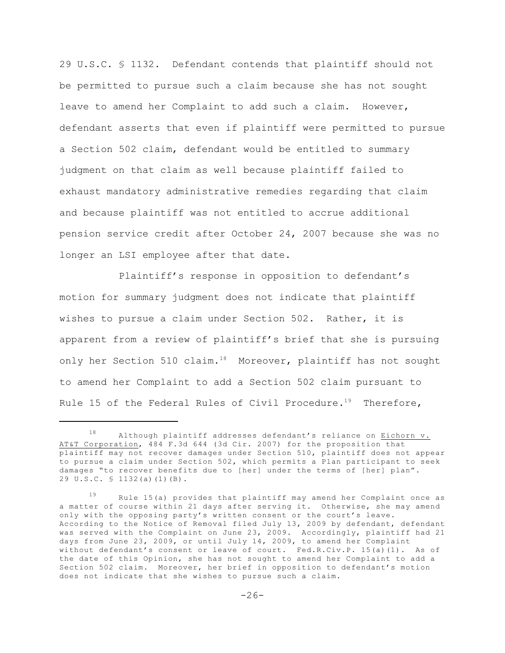29 U.S.C. § 1132. Defendant contends that plaintiff should not be permitted to pursue such a claim because she has not sought leave to amend her Complaint to add such a claim. However, defendant asserts that even if plaintiff were permitted to pursue a Section 502 claim, defendant would be entitled to summary judgment on that claim as well because plaintiff failed to exhaust mandatory administrative remedies regarding that claim and because plaintiff was not entitled to accrue additional pension service credit after October 24, 2007 because she was no longer an LSI employee after that date.

Plaintiff's response in opposition to defendant's motion for summary judgment does not indicate that plaintiff wishes to pursue a claim under Section 502. Rather, it is apparent from a review of plaintiff's brief that she is pursuing only her Section 510 claim.<sup>18</sup> Moreover, plaintiff has not sought to amend her Complaint to add a Section 502 claim pursuant to Rule 15 of the Federal Rules of Civil Procedure.<sup>19</sup> Therefore,

 $18$  Although plaintiff addresses defendant's reliance on Eichorn v. AT&T Corporation, 484 F.3d 644 (3d Cir. 2007) for the proposition that plaintiff may not recover damages under Section 510, plaintiff does not appear to pursue a claim under Section 502, which permits a Plan participant to seek damages "to recover benefits due to [her] under the terms of [her] plan". 29 U.S.C. § 1132(a)(1)(B).

 $19$  Rule 15(a) provides that plaintiff may amend her Complaint once as a matter of course within 21 days after serving it. Otherwise, she may amend only with the opposing party's written consent or the court's leave. According to the Notice of Removal filed July 13, 2009 by defendant, defendant was served with the Complaint on June 23, 2009. Accordingly, plaintiff had 21 days from June 23, 2009, or until July 14, 2009, to amend her Complaint without defendant's consent or leave of court. Fed.R.Civ.P. 15(a)(1). As of the date of this Opinion, she has not sought to amend her Complaint to add a Section 502 claim. Moreover, her brief in opposition to defendant's motion does not indicate that she wishes to pursue such a claim.